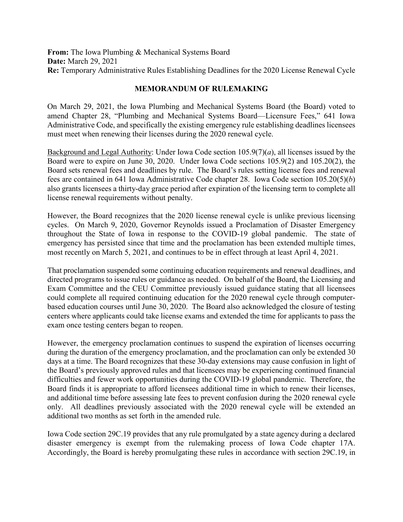**From:** The Iowa Plumbing & Mechanical Systems Board **Date:** March 29, 2021 **Re:** Temporary Administrative Rules Establishing Deadlines for the 2020 License Renewal Cycle

## **MEMORANDUM OF RULEMAKING**

On March 29, 2021, the Iowa Plumbing and Mechanical Systems Board (the Board) voted to amend Chapter 28, "Plumbing and Mechanical Systems Board—Licensure Fees," 641 Iowa Administrative Code, and specifically the existing emergency rule establishing deadlines licensees must meet when renewing their licenses during the 2020 renewal cycle.

Background and Legal Authority: Under Iowa Code section  $105.9(7)(a)$ , all licenses issued by the Board were to expire on June 30, 2020. Under Iowa Code sections 105.9(2) and 105.20(2), the Board sets renewal fees and deadlines by rule. The Board's rules setting license fees and renewal fees are contained in 641 Iowa Administrative Code chapter 28. Iowa Code section 105.20(5)(*b*) also grants licensees a thirty-day grace period after expiration of the licensing term to complete all license renewal requirements without penalty.

However, the Board recognizes that the 2020 license renewal cycle is unlike previous licensing cycles. On March 9, 2020, Governor Reynolds issued a Proclamation of Disaster Emergency throughout the State of Iowa in response to the COVID-19 global pandemic. The state of emergency has persisted since that time and the proclamation has been extended multiple times, most recently on March 5, 2021, and continues to be in effect through at least April 4, 2021.

That proclamation suspended some continuing education requirements and renewal deadlines, and directed programs to issue rules or guidance as needed. On behalf of the Board, the Licensing and Exam Committee and the CEU Committee previously issued guidance stating that all licensees could complete all required continuing education for the 2020 renewal cycle through computerbased education courses until June 30, 2020. The Board also acknowledged the closure of testing centers where applicants could take license exams and extended the time for applicants to pass the exam once testing centers began to reopen.

However, the emergency proclamation continues to suspend the expiration of licenses occurring during the duration of the emergency proclamation, and the proclamation can only be extended 30 days at a time. The Board recognizes that these 30-day extensions may cause confusion in light of the Board's previously approved rules and that licensees may be experiencing continued financial difficulties and fewer work opportunities during the COVID-19 global pandemic. Therefore, the Board finds it is appropriate to afford licensees additional time in which to renew their licenses, and additional time before assessing late fees to prevent confusion during the 2020 renewal cycle only. All deadlines previously associated with the 2020 renewal cycle will be extended an additional two months as set forth in the amended rule.

Iowa Code section 29C.19 provides that any rule promulgated by a state agency during a declared disaster emergency is exempt from the rulemaking process of Iowa Code chapter 17A. Accordingly, the Board is hereby promulgating these rules in accordance with section 29C.19, in